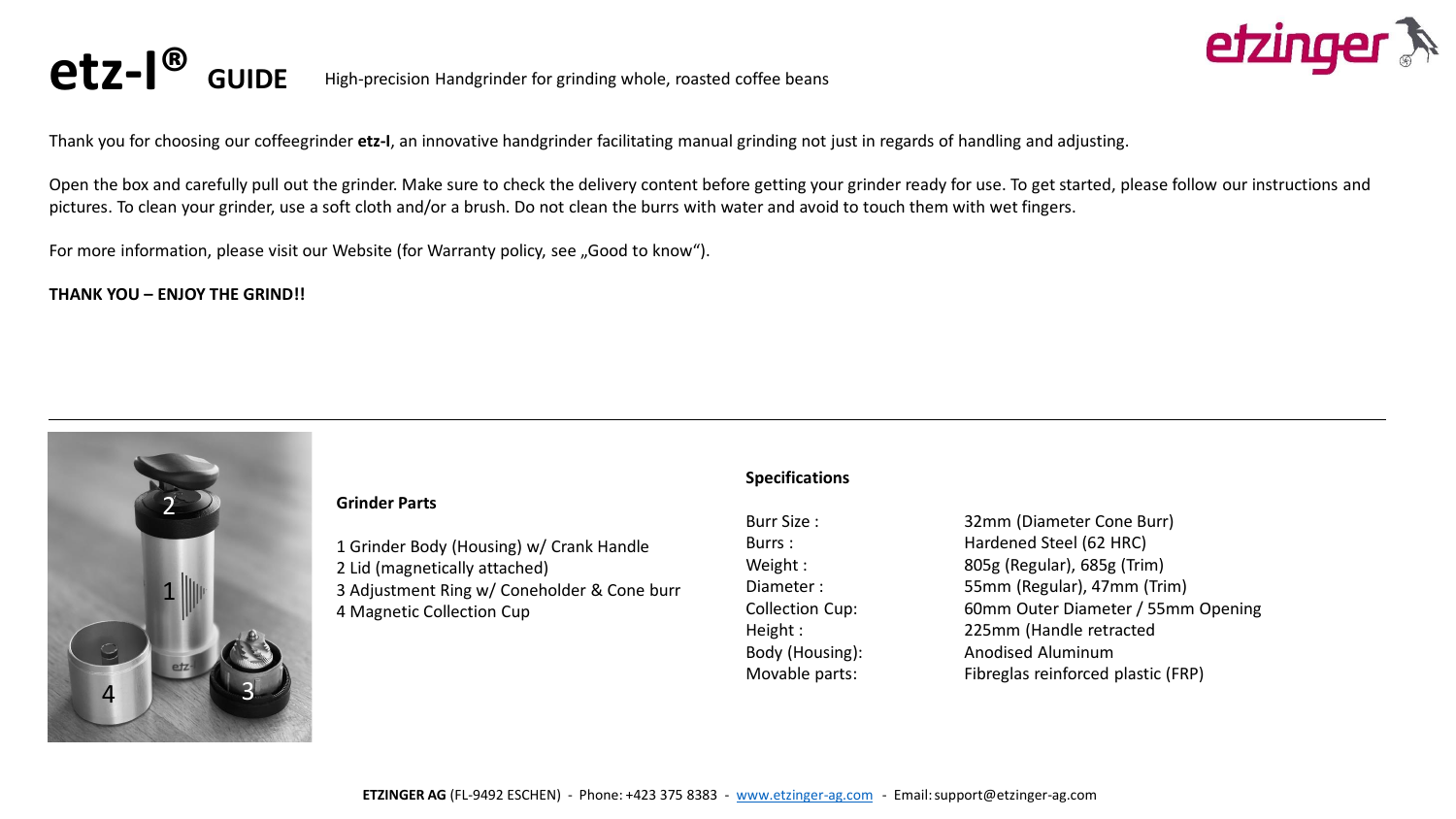



Thank you for choosing our coffeegrinder **etz-I**, an innovative handgrinder facilitating manual grinding not just in regards of handling and adjusting.

Open the box and carefully pull out the grinder. Make sure to check the delivery content before getting your grinder ready for use. To get started, please follow our instructions and pictures. To clean your grinder, use a soft cloth and/or a brush. Do not clean the burrs with water and avoid to touch them with wet fingers.

For more information, please visit our Website (for Warranty policy, see "Good to know").

**THANK YOU – ENJOY THE GRIND!!**

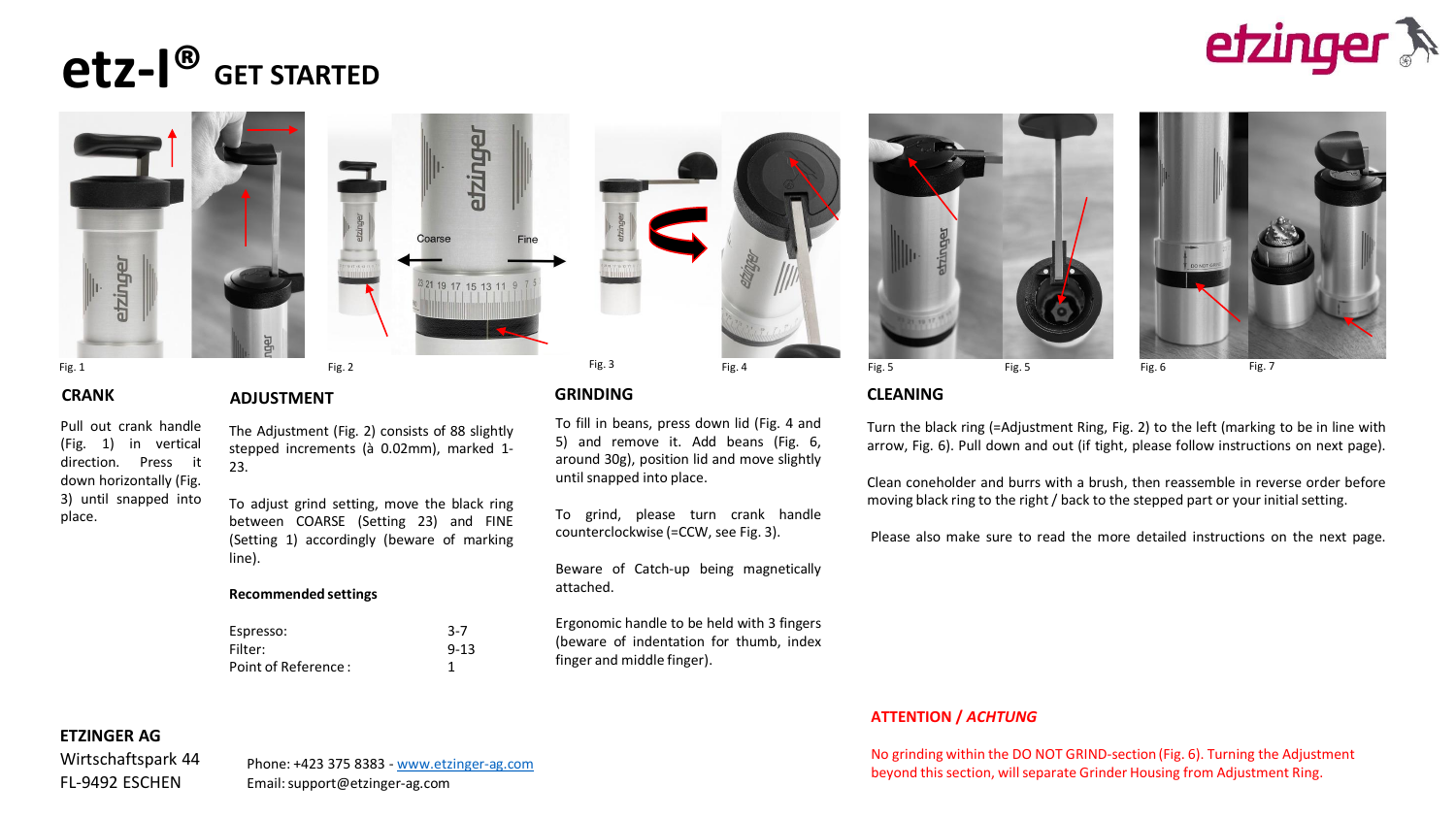# **GET STARTED etz-I®**











## **CRANK ADJUSTMENT GRINDING CLEANING**

To fill in beans, press down lid (Fig. 4 and 5) and remove it. Add beans (Fig. 6, around 30g), position lid and move slightly until snapped into place.

To grind, please turn crank handle counterclockwise (=CCW, see Fig. 3).

Beware of Catch-up being magnetically attached.

Ergonomic handle to be held with 3 fingers (beware of indentation for thumb, index finger and middle finger).





Turn the black ring (=Adjustment Ring, Fig. 2) to the left (marking to be in line with arrow, Fig. 6). Pull down and out (if tight, please follow instructions on next page).

Clean coneholder and burrs with a brush, then reassemble in reverse order before moving black ring to the right / back to the stepped part or your initial setting.

Please also make sure to read the more detailed instructions on the next page.

### **ATTENTION /** *ACHTUNG*

No grinding within the DO NOT GRIND-section (Fig. 6). Turning the Adjustment beyond this section, will separate Grinder Housing from Adjustment Ring.

Pull out crank handle (Fig. 1) in vertical direction. Press it down horizontally (Fig. 3) until snapped into place.

### The Adjustment (Fig. 2) consists of 88 slightly stepped increments (à 0.02mm), marked 1-

23.

To adjust grind setting, move the black ring between COARSE (Setting 23) and FINE (Setting 1) accordingly (beware of marking line).

#### **Recommended settings**

| Espresso:           | $3 - 7$  |
|---------------------|----------|
| Filter:             | $9 - 13$ |
| Point of Reference: |          |

### **ETZINGER AG**

Wirtschaftspark 44 FL-9492 ESCHEN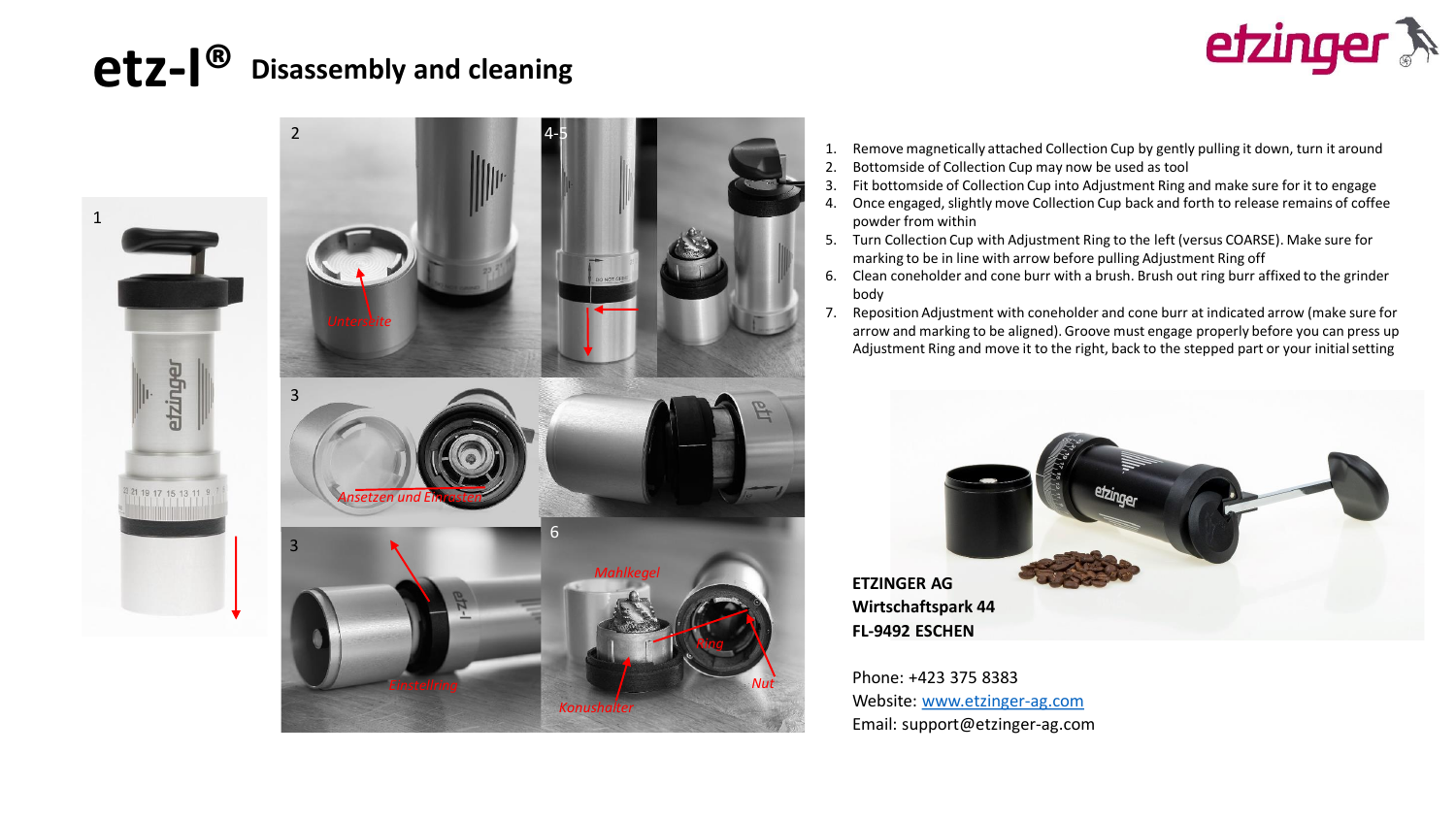## **Disassembly and cleaning etz-I®**





- 1. Remove magnetically attached Collection Cup by gently pulling it down, turn it around
- 2. Bottomside of Collection Cup may now be used as tool
- 3. Fit bottomside of Collection Cup into Adjustment Ring and make sure for it to engage
- 4. Once engaged, slightly move Collection Cup back and forth to release remains of coffee powder from within
- 5. Turn Collection Cup with Adjustment Ring to the left (versus COARSE). Make sure for marking to be in line with arrow before pulling Adjustment Ring off
- 6. Clean coneholder and cone burr with a brush. Brush out ring burr affixed to the grinder body
- 7. Reposition Adjustment with coneholder and cone burr at indicated arrow (make sure for 3 arrow and marking to be aligned). Groove must engage properly before you can press up Adjustment Ring and move it to the right, back to the stepped part or your initial setting



Phone: +423 375 8383 Website: [www.etzinger-ag.com](http://www.etzinger-ag.com/) Email: support@etzinger-ag.com